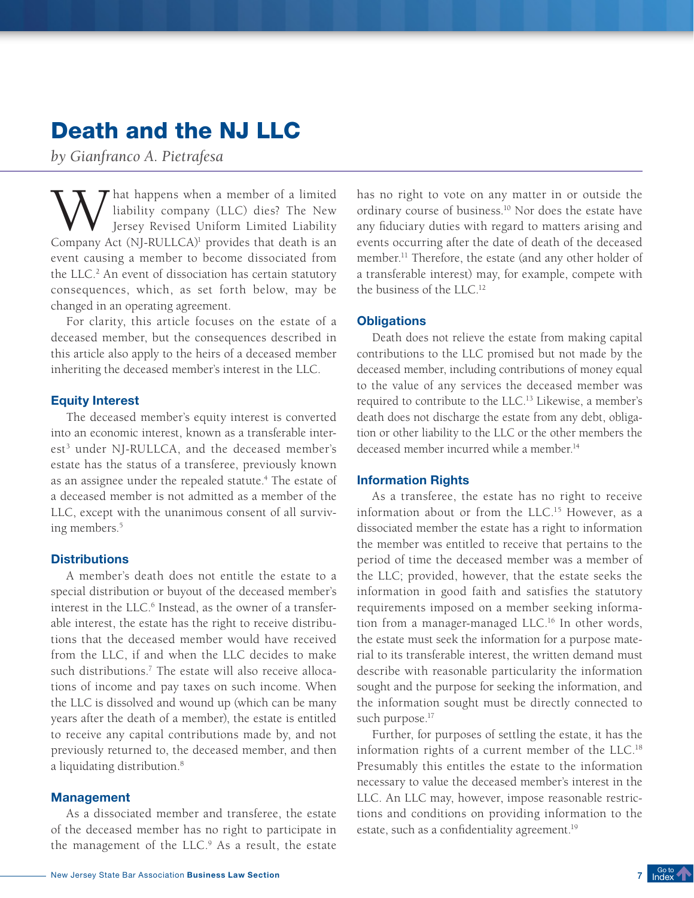# Death and the NJ LLC

*by Gianfranco A. Pietrafesa*

W hat happens when a member of a limited<br>liability company (LLC) dies? The New<br>Company Act (NL-RULLCA)<sup>1</sup> provides that death is an liability company (LLC) dies? The New Jersey Revised Uniform Limited Liability Company Act (NJ-RULLCA)<sup>1</sup> provides that death is an event causing a member to become dissociated from the LLC.<sup>2</sup> An event of dissociation has certain statutory consequences, which, as set forth below, may be changed in an operating agreement.

For clarity, this article focuses on the estate of a deceased member, but the consequences described in this article also apply to the heirs of a deceased member inheriting the deceased member's interest in the LLC.

#### Equity Interest

The deceased member's equity interest is converted into an economic interest, known as a transferable interest<sup>3</sup> under NJ-RULLCA, and the deceased member's estate has the status of a transferee, previously known as an assignee under the repealed statute.<sup>4</sup> The estate of a deceased member is not admitted as a member of the LLC, except with the unanimous consent of all surviving members.<sup>5</sup>

#### **Distributions**

A member's death does not entitle the estate to a special distribution or buyout of the deceased member's interest in the LLC.<sup>6</sup> Instead, as the owner of a transferable interest, the estate has the right to receive distributions that the deceased member would have received from the LLC, if and when the LLC decides to make such distributions.7 The estate will also receive allocations of income and pay taxes on such income. When the LLC is dissolved and wound up (which can be many years after the death of a member), the estate is entitled to receive any capital contributions made by, and not previously returned to, the deceased member, and then a liquidating distribution.<sup>8</sup>

# **Management**

As a dissociated member and transferee, the estate of the deceased member has no right to participate in the management of the LLC.<sup>9</sup> As a result, the estate has no right to vote on any matter in or outside the ordinary course of business.10 Nor does the estate have any fiduciary duties with regard to matters arising and events occurring after the date of death of the deceased member.11 Therefore, the estate (and any other holder of a transferable interest) may, for example, compete with the business of the LLC.12

## **Obligations**

Death does not relieve the estate from making capital contributions to the LLC promised but not made by the deceased member, including contributions of money equal to the value of any services the deceased member was required to contribute to the LLC.13 Likewise, a member's death does not discharge the estate from any debt, obligation or other liability to the LLC or the other members the deceased member incurred while a member.<sup>14</sup>

## Information Rights

As a transferee, the estate has no right to receive information about or from the LLC.15 However, as a dissociated member the estate has a right to information the member was entitled to receive that pertains to the period of time the deceased member was a member of the LLC; provided, however, that the estate seeks the information in good faith and satisfies the statutory requirements imposed on a member seeking information from a manager-managed LLC.16 In other words, the estate must seek the information for a purpose material to its transferable interest, the written demand must describe with reasonable particularity the information sought and the purpose for seeking the information, and the information sought must be directly connected to such purpose.<sup>17</sup>

Further, for purposes of settling the estate, it has the information rights of a current member of the LLC.18 Presumably this entitles the estate to the information necessary to value the deceased member's interest in the LLC. An LLC may, however, impose reasonable restrictions and conditions on providing information to the estate, such as a confidentiality agreement.<sup>19</sup>